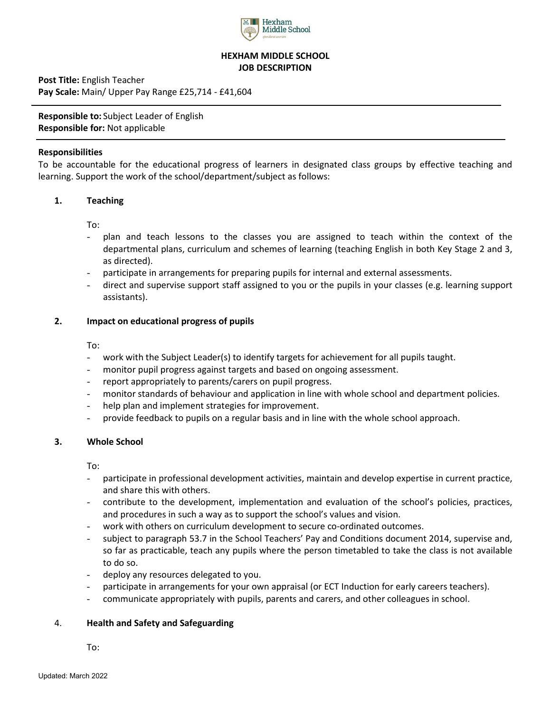

# **HEXHAM MIDDLE SCHOOL JOB DESCRIPTION**

**Post Title:** English Teacher **Pay Scale:** Main/ Upper Pay Range £25,714 - £41,604

**Responsible to:** Subject Leader of English **Responsible for:** Not applicable

## **Responsibilities**

To be accountable for the educational progress of learners in designated class groups by effective teaching and learning. Support the work of the school/department/subject as follows:

# **1. Teaching**

To:

- plan and teach lessons to the classes you are assigned to teach within the context of the departmental plans, curriculum and schemes of learning (teaching English in both Key Stage 2 and 3, as directed).
- participate in arrangements for preparing pupils for internal and external assessments.
- direct and supervise support staff assigned to you or the pupils in your classes (e.g. learning support assistants).

## **2. Impact on educational progress of pupils**

To:

- work with the Subject Leader(s) to identify targets for achievement for all pupils taught.
- monitor pupil progress against targets and based on ongoing assessment.
- report appropriately to parents/carers on pupil progress.
- monitor standards of behaviour and application in line with whole school and department policies.
- help plan and implement strategies for improvement.
- provide feedback to pupils on a regular basis and in line with the whole school approach.

#### **3. Whole School**

To:

- participate in professional development activities, maintain and develop expertise in current practice, and share this with others.
- contribute to the development, implementation and evaluation of the school's policies, practices, and procedures in such a way as to support the school's values and vision.
- work with others on curriculum development to secure co-ordinated outcomes.
- subject to paragraph 53.7 in the School Teachers' Pay and Conditions document 2014, supervise and, so far as practicable, teach any pupils where the person timetabled to take the class is not available to do so.
- deploy any resources delegated to you.
- participate in arrangements for your own appraisal (or ECT Induction for early careers teachers).
- communicate appropriately with pupils, parents and carers, and other colleagues in school.

#### 4. **Health and Safety and Safeguarding**

To: